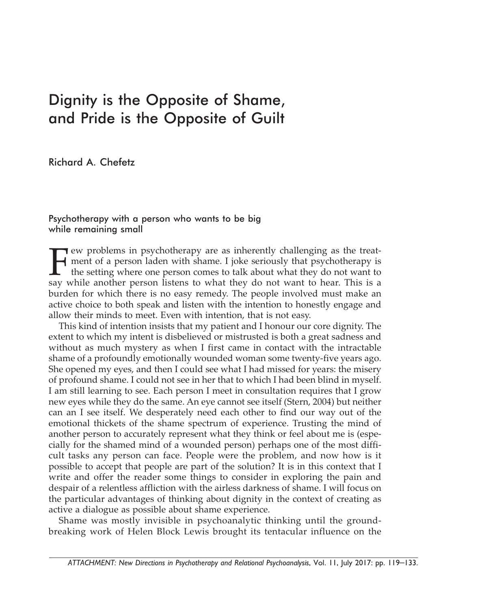## Dignity is the Opposite of Shame, and Pride is the Opposite of Guilt

Richard A. Chefetz

## Psychotherapy with a person who wants to be big while remaining small

Few problems in psychotherapy are as inherently challenging as the treat-<br>ment of a person laden with shame. I joke seriously that psychotherapy is<br>the setting where one person comes to talk about what they do not want to<br>  $\rightarrow$  ment of a person laden with shame. I joke seriously that psychotherapy is the setting where one person comes to talk about what they do not want to say while another person listens to what they do not want to hear. This is a burden for which there is no easy remedy. The people involved must make an active choice to both speak and listen with the intention to honestly engage and allow their minds to meet. Even with intention, that is not easy.

This kind of intention insists that my patient and I honour our core dignity. The extent to which my intent is disbelieved or mistrusted is both a great sadness and without as much mystery as when I first came in contact with the intractable shame of a profoundly emotionally wounded woman some twenty-five years ago. She opened my eyes, and then I could see what I had missed for years: the misery of profound shame. I could not see in her that to which I had been blind in myself. I am still learning to see. Each person I meet in consultation requires that I grow new eyes while they do the same. An eye cannot see itself (Stern, 2004) but neither can an I see itself. We desperately need each other to find our way out of the emotional thickets of the shame spectrum of experience. Trusting the mind of another person to accurately represent what they think or feel about me is (especially for the shamed mind of a wounded person) perhaps one of the most difficult tasks any person can face. People were the problem, and now how is it possible to accept that people are part of the solution? It is in this context that I write and offer the reader some things to consider in exploring the pain and despair of a relentless affliction with the airless darkness of shame. I will focus on the particular advantages of thinking about dignity in the context of creating as active a dialogue as possible about shame experience.

Shame was mostly invisible in psychoanalytic thinking until the groundbreaking work of Helen Block Lewis brought its tentacular influence on the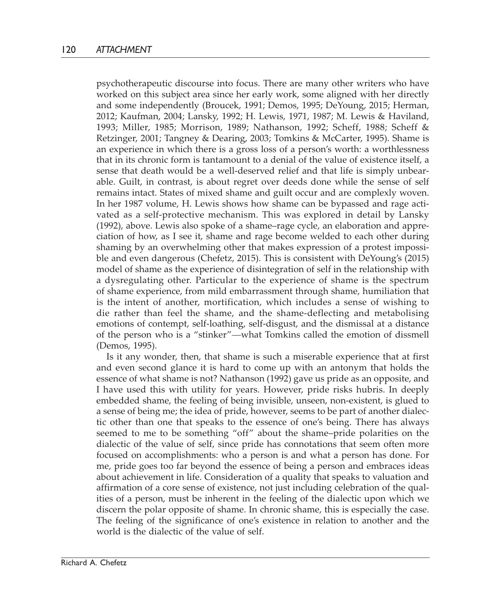psychotherapeutic discourse into focus. There are many other writers who have worked on this subject area since her early work, some aligned with her directly and some independently (Broucek, 1991; Demos, 1995; DeYoung, 2015; Herman, 2012; Kaufman, 2004; Lansky, 1992; H. Lewis, 1971, 1987; M. Lewis & Haviland, 1993; Miller, 1985; Morrison, 1989; Nathanson, 1992; Scheff, 1988; Scheff & Retzinger, 2001; Tangney & Dearing, 2003; Tomkins & McCarter, 1995). Shame is an experience in which there is a gross loss of a person's worth: a worthlessness that in its chronic form is tantamount to a denial of the value of existence itself, a sense that death would be a well-deserved relief and that life is simply unbearable. Guilt, in contrast, is about regret over deeds done while the sense of self remains intact. States of mixed shame and guilt occur and are complexly woven. In her 1987 volume, H. Lewis shows how shame can be bypassed and rage activated as a self-protective mechanism. This was explored in detail by Lansky (1992), above. Lewis also spoke of a shame–rage cycle, an elaboration and appreciation of how, as I see it, shame and rage become welded to each other during shaming by an overwhelming other that makes expression of a protest impossible and even dangerous (Chefetz, 2015). This is consistent with DeYoung's (2015) model of shame as the experience of disintegration of self in the relationship with a dysregulating other. Particular to the experience of shame is the spectrum of shame experience, from mild embarrassment through shame, humiliation that is the intent of another, mortification, which includes a sense of wishing to die rather than feel the shame, and the shame-deflecting and metabolising emotions of contempt, self-loathing, self-disgust, and the dismissal at a distance of the person who is a "stinker"—what Tomkins called the emotion of dissmell (Demos, 1995).

Is it any wonder, then, that shame is such a miserable experience that at first and even second glance it is hard to come up with an antonym that holds the essence of what shame is not? Nathanson (1992) gave us pride as an opposite, and I have used this with utility for years. However, pride risks hubris. In deeply embedded shame, the feeling of being invisible, unseen, non-existent, is glued to a sense of being me; the idea of pride, however, seems to be part of another dialectic other than one that speaks to the essence of one's being. There has always seemed to me to be something "off" about the shame–pride polarities on the dialectic of the value of self, since pride has connotations that seem often more focused on accomplishments: who a person is and what a person has done. For me, pride goes too far beyond the essence of being a person and embraces ideas about achievement in life. Consideration of a quality that speaks to valuation and affirmation of a core sense of existence, not just including celebration of the qualities of a person, must be inherent in the feeling of the dialectic upon which we discern the polar opposite of shame. In chronic shame, this is especially the case. The feeling of the significance of one's existence in relation to another and the world is the dialectic of the value of self.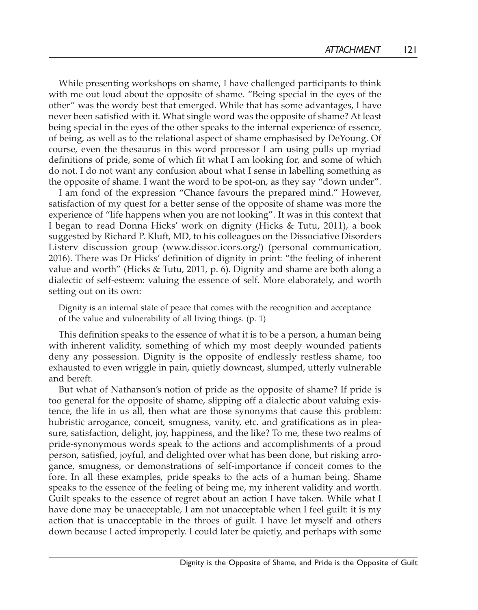While presenting workshops on shame, I have challenged participants to think with me out loud about the opposite of shame. "Being special in the eyes of the other" was the wordy best that emerged. While that has some advantages, I have never been satisfied with it. What single word was the opposite of shame? At least being special in the eyes of the other speaks to the internal experience of essence, of being, as well as to the relational aspect of shame emphasised by DeYoung. Of course, even the thesaurus in this word processor I am using pulls up myriad definitions of pride, some of which fit what I am looking for, and some of which do not. I do not want any confusion about what I sense in labelling something as the opposite of shame. I want the word to be spot-on, as they say "down under".

I am fond of the expression "Chance favours the prepared mind." However, satisfaction of my quest for a better sense of the opposite of shame was more the experience of "life happens when you are not looking". It was in this context that I began to read Donna Hicks' work on dignity (Hicks & Tutu, 2011), a book suggested by Richard P. Kluft, MD, to his colleagues on the Dissociative Disorders Listerv discussion group (www.dissoc.icors.org/) (personal communication, 2016). There was Dr Hicks' definition of dignity in print: "the feeling of inherent value and worth" (Hicks & Tutu, 2011, p. 6). Dignity and shame are both along a dialectic of self-esteem: valuing the essence of self. More elaborately, and worth setting out on its own:

Dignity is an internal state of peace that comes with the recognition and acceptance of the value and vulnerability of all living things. (p. 1)

This definition speaks to the essence of what it is to be a person, a human being with inherent validity, something of which my most deeply wounded patients deny any possession. Dignity is the opposite of endlessly restless shame, too exhausted to even wriggle in pain, quietly downcast, slumped, utterly vulnerable and bereft.

But what of Nathanson's notion of pride as the opposite of shame? If pride is too general for the opposite of shame, slipping off a dialectic about valuing existence, the life in us all, then what are those synonyms that cause this problem: hubristic arrogance, conceit, smugness, vanity, etc. and gratifications as in pleasure, satisfaction, delight, joy, happiness, and the like? To me, these two realms of pride-synonymous words speak to the actions and accomplishments of a proud person, satisfied, joyful, and delighted over what has been done, but risking arrogance, smugness, or demonstrations of self-importance if conceit comes to the fore. In all these examples, pride speaks to the acts of a human being. Shame speaks to the essence of the feeling of being me, my inherent validity and worth. Guilt speaks to the essence of regret about an action I have taken. While what I have done may be unacceptable, I am not unacceptable when I feel guilt: it is my action that is unacceptable in the throes of guilt. I have let myself and others down because I acted improperly. I could later be quietly, and perhaps with some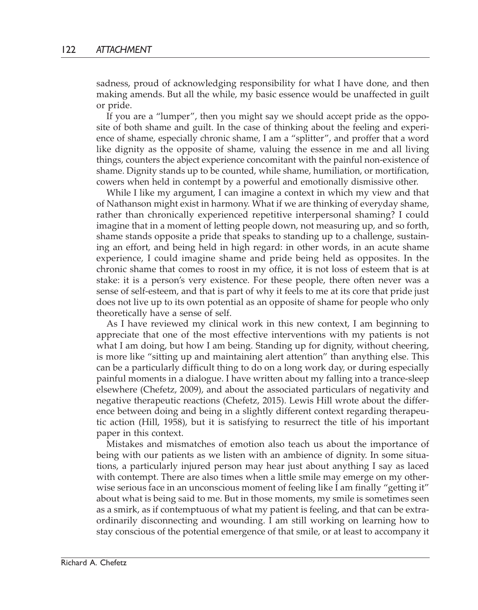sadness, proud of acknowledging responsibility for what I have done, and then making amends. But all the while, my basic essence would be unaffected in guilt or pride.

If you are a "lumper", then you might say we should accept pride as the opposite of both shame and guilt. In the case of thinking about the feeling and experience of shame, especially chronic shame, I am a "splitter", and proffer that a word like dignity as the opposite of shame, valuing the essence in me and all living things, counters the abject experience concomitant with the painful non-existence of shame. Dignity stands up to be counted, while shame, humiliation, or mortification, cowers when held in contempt by a powerful and emotionally dismissive other.

While I like my argument, I can imagine a context in which my view and that of Nathanson might exist in harmony. What if we are thinking of everyday shame, rather than chronically experienced repetitive interpersonal shaming? I could imagine that in a moment of letting people down, not measuring up, and so forth, shame stands opposite a pride that speaks to standing up to a challenge, sustaining an effort, and being held in high regard: in other words, in an acute shame experience, I could imagine shame and pride being held as opposites. In the chronic shame that comes to roost in my office, it is not loss of esteem that is at stake: it is a person's very existence. For these people, there often never was a sense of self-esteem, and that is part of why it feels to me at its core that pride just does not live up to its own potential as an opposite of shame for people who only theoretically have a sense of self.

As I have reviewed my clinical work in this new context, I am beginning to appreciate that one of the most effective interventions with my patients is not what I am doing, but how I am being. Standing up for dignity, without cheering, is more like "sitting up and maintaining alert attention" than anything else. This can be a particularly difficult thing to do on a long work day, or during especially painful moments in a dialogue. I have written about my falling into a trance-sleep elsewhere (Chefetz, 2009), and about the associated particulars of negativity and negative therapeutic reactions (Chefetz, 2015). Lewis Hill wrote about the difference between doing and being in a slightly different context regarding therapeutic action (Hill, 1958), but it is satisfying to resurrect the title of his important paper in this context.

Mistakes and mismatches of emotion also teach us about the importance of being with our patients as we listen with an ambience of dignity. In some situations, a particularly injured person may hear just about anything I say as laced with contempt. There are also times when a little smile may emerge on my otherwise serious face in an unconscious moment of feeling like I am finally "getting it" about what is being said to me. But in those moments, my smile is sometimes seen as a smirk, as if contemptuous of what my patient is feeling, and that can be extraordinarily disconnecting and wounding. I am still working on learning how to stay conscious of the potential emergence of that smile, or at least to accompany it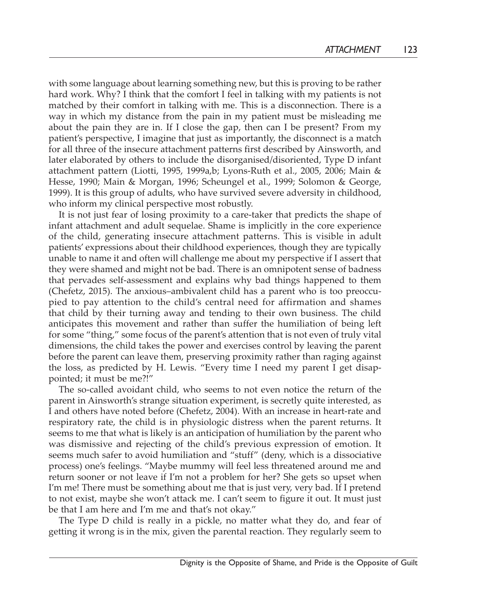with some language about learning something new, but this is proving to be rather hard work. Why? I think that the comfort I feel in talking with my patients is not matched by their comfort in talking with me. This is a disconnection. There is a way in which my distance from the pain in my patient must be misleading me about the pain they are in. If I close the gap, then can I be present? From my patient's perspective, I imagine that just as importantly, the disconnect is a match for all three of the insecure attachment patterns first described by Ainsworth, and later elaborated by others to include the disorganised/disoriented, Type D infant attachment pattern (Liotti, 1995, 1999a,b; Lyons-Ruth et al., 2005, 2006; Main & Hesse, 1990; Main & Morgan, 1996; Scheungel et al., 1999; Solomon & George, 1999). It is this group of adults, who have survived severe adversity in childhood, who inform my clinical perspective most robustly.

It is not just fear of losing proximity to a care-taker that predicts the shape of infant attachment and adult sequelae. Shame is implicitly in the core experience of the child, generating insecure attachment patterns. This is visible in adult patients' expressions about their childhood experiences, though they are typically unable to name it and often will challenge me about my perspective if I assert that they were shamed and might not be bad. There is an omnipotent sense of badness that pervades self-assessment and explains why bad things happened to them (Chefetz, 2015). The anxious–ambivalent child has a parent who is too preoccupied to pay attention to the child's central need for affirmation and shames that child by their turning away and tending to their own business. The child anticipates this movement and rather than suffer the humiliation of being left for some "thing," some focus of the parent's attention that is not even of truly vital dimensions, the child takes the power and exercises control by leaving the parent before the parent can leave them, preserving proximity rather than raging against the loss, as predicted by H. Lewis. "Every time I need my parent I get disappointed; it must be me?!"

The so-called avoidant child, who seems to not even notice the return of the parent in Ainsworth's strange situation experiment, is secretly quite interested, as I and others have noted before (Chefetz, 2004). With an increase in heart-rate and respiratory rate, the child is in physiologic distress when the parent returns. It seems to me that what is likely is an anticipation of humiliation by the parent who was dismissive and rejecting of the child's previous expression of emotion. It seems much safer to avoid humiliation and "stuff" (deny, which is a dissociative process) one's feelings. "Maybe mummy will feel less threatened around me and return sooner or not leave if I'm not a problem for her? She gets so upset when I'm me! There must be something about me that is just very, very bad. If I pretend to not exist, maybe she won't attack me. I can't seem to figure it out. It must just be that I am here and I'm me and that's not okay."

The Type D child is really in a pickle, no matter what they do, and fear of getting it wrong is in the mix, given the parental reaction. They regularly seem to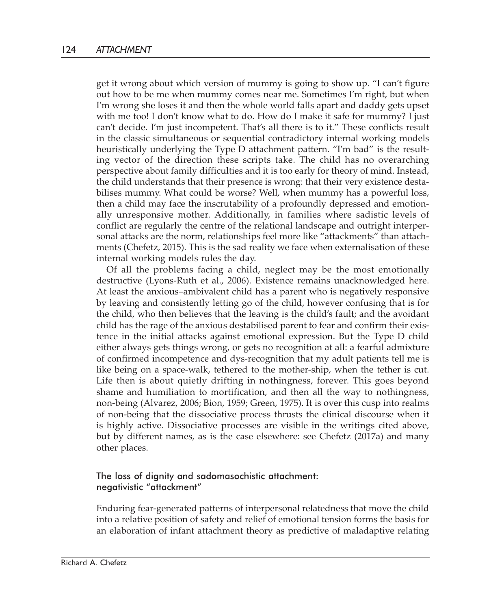get it wrong about which version of mummy is going to show up. "I can't figure out how to be me when mummy comes near me. Sometimes I'm right, but when I'm wrong she loses it and then the whole world falls apart and daddy gets upset with me too! I don't know what to do. How do I make it safe for mummy? I just can't decide. I'm just incompetent. That's all there is to it." These conflicts result in the classic simultaneous or sequential contradictory internal working models heuristically underlying the Type D attachment pattern. "I'm bad" is the resulting vector of the direction these scripts take. The child has no overarching perspective about family difficulties and it is too early for theory of mind. Instead, the child understands that their presence is wrong: that their very existence destabilises mummy. What could be worse? Well, when mummy has a powerful loss, then a child may face the inscrutability of a profoundly depressed and emotionally unresponsive mother. Additionally, in families where sadistic levels of conflict are regularly the centre of the relational landscape and outright interpersonal attacks are the norm, relationships feel more like "attackments" than attachments (Chefetz, 2015). This is the sad reality we face when externalisation of these internal working models rules the day.

Of all the problems facing a child, neglect may be the most emotionally destructive (Lyons-Ruth et al., 2006). Existence remains unacknowledged here. At least the anxious–ambivalent child has a parent who is negatively responsive by leaving and consistently letting go of the child, however confusing that is for the child, who then believes that the leaving is the child's fault; and the avoidant child has the rage of the anxious destabilised parent to fear and confirm their existence in the initial attacks against emotional expression. But the Type D child either always gets things wrong, or gets no recognition at all: a fearful admixture of confirmed incompetence and dys-recognition that my adult patients tell me is like being on a space-walk, tethered to the mother-ship, when the tether is cut. Life then is about quietly drifting in nothingness, forever. This goes beyond shame and humiliation to mortification, and then all the way to nothingness, non-being (Alvarez, 2006; Bion, 1959; Green, 1975). It is over this cusp into realms of non-being that the dissociative process thrusts the clinical discourse when it is highly active. Dissociative processes are visible in the writings cited above, but by different names, as is the case elsewhere: see Chefetz (2017a) and many other places.

## The loss of dignity and sadomasochistic attachment: negativistic "attackment"

Enduring fear-generated patterns of interpersonal relatedness that move the child into a relative position of safety and relief of emotional tension forms the basis for an elaboration of infant attachment theory as predictive of maladaptive relating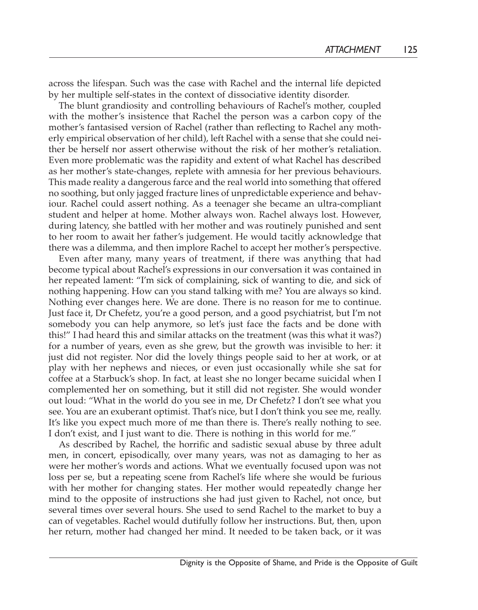across the lifespan. Such was the case with Rachel and the internal life depicted by her multiple self-states in the context of dissociative identity disorder.

The blunt grandiosity and controlling behaviours of Rachel's mother, coupled with the mother's insistence that Rachel the person was a carbon copy of the mother's fantasised version of Rachel (rather than reflecting to Rachel any motherly empirical observation of her child), left Rachel with a sense that she could neither be herself nor assert otherwise without the risk of her mother's retaliation. Even more problematic was the rapidity and extent of what Rachel has described as her mother's state-changes, replete with amnesia for her previous behaviours. This made reality a dangerous farce and the real world into something that offered no soothing, but only jagged fracture lines of unpredictable experience and behaviour. Rachel could assert nothing. As a teenager she became an ultra-compliant student and helper at home. Mother always won. Rachel always lost. However, during latency, she battled with her mother and was routinely punished and sent to her room to await her father's judgement. He would tacitly acknowledge that there was a dilemma, and then implore Rachel to accept her mother's perspective.

Even after many, many years of treatment, if there was anything that had become typical about Rachel's expressions in our conversation it was contained in her repeated lament: "I'm sick of complaining, sick of wanting to die, and sick of nothing happening. How can you stand talking with me? You are always so kind. Nothing ever changes here. We are done. There is no reason for me to continue. Just face it, Dr Chefetz, you're a good person, and a good psychiatrist, but I'm not somebody you can help anymore, so let's just face the facts and be done with this!" I had heard this and similar attacks on the treatment (was this what it was?) for a number of years, even as she grew, but the growth was invisible to her: it just did not register. Nor did the lovely things people said to her at work, or at play with her nephews and nieces, or even just occasionally while she sat for coffee at a Starbuck's shop. In fact, at least she no longer became suicidal when I complemented her on something, but it still did not register. She would wonder out loud: "What in the world do you see in me, Dr Chefetz? I don't see what you see. You are an exuberant optimist. That's nice, but I don't think you see me, really. It's like you expect much more of me than there is. There's really nothing to see. I don't exist, and I just want to die. There is nothing in this world for me."

As described by Rachel, the horrific and sadistic sexual abuse by three adult men, in concert, episodically, over many years, was not as damaging to her as were her mother's words and actions. What we eventually focused upon was not loss per se, but a repeating scene from Rachel's life where she would be furious with her mother for changing states. Her mother would repeatedly change her mind to the opposite of instructions she had just given to Rachel, not once, but several times over several hours. She used to send Rachel to the market to buy a can of vegetables. Rachel would dutifully follow her instructions. But, then, upon her return, mother had changed her mind. It needed to be taken back, or it was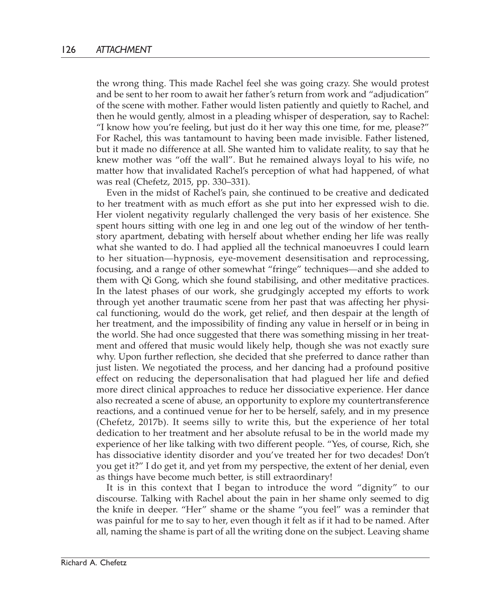the wrong thing. This made Rachel feel she was going crazy. She would protest and be sent to her room to await her father's return from work and "adjudication" of the scene with mother. Father would listen patiently and quietly to Rachel, and then he would gently, almost in a pleading whisper of desperation, say to Rachel: "I know how you're feeling, but just do it her way this one time, for me, please?" For Rachel, this was tantamount to having been made invisible. Father listened, but it made no difference at all. She wanted him to validate reality, to say that he knew mother was "off the wall". But he remained always loyal to his wife, no matter how that invalidated Rachel's perception of what had happened, of what was real (Chefetz, 2015, pp. 330–331).

Even in the midst of Rachel's pain, she continued to be creative and dedicated to her treatment with as much effort as she put into her expressed wish to die. Her violent negativity regularly challenged the very basis of her existence. She spent hours sitting with one leg in and one leg out of the window of her tenthstory apartment, debating with herself about whether ending her life was really what she wanted to do. I had applied all the technical manoeuvres I could learn to her situation—hypnosis, eye-movement desensitisation and reprocessing, focusing, and a range of other somewhat "fringe" techniques—and she added to them with Qi Gong, which she found stabilising, and other meditative practices. In the latest phases of our work, she grudgingly accepted my efforts to work through yet another traumatic scene from her past that was affecting her physical functioning, would do the work, get relief, and then despair at the length of her treatment, and the impossibility of finding any value in herself or in being in the world. She had once suggested that there was something missing in her treatment and offered that music would likely help, though she was not exactly sure why. Upon further reflection, she decided that she preferred to dance rather than just listen. We negotiated the process, and her dancing had a profound positive effect on reducing the depersonalisation that had plagued her life and defied more direct clinical approaches to reduce her dissociative experience. Her dance also recreated a scene of abuse, an opportunity to explore my countertransference reactions, and a continued venue for her to be herself, safely, and in my presence (Chefetz, 2017b). It seems silly to write this, but the experience of her total dedication to her treatment and her absolute refusal to be in the world made my experience of her like talking with two different people. "Yes, of course, Rich, she has dissociative identity disorder and you've treated her for two decades! Don't you get it?" I do get it, and yet from my perspective, the extent of her denial, even as things have become much better, is still extraordinary!

It is in this context that I began to introduce the word "dignity" to our discourse. Talking with Rachel about the pain in her shame only seemed to dig the knife in deeper. "Her" shame or the shame "you feel" was a reminder that was painful for me to say to her, even though it felt as if it had to be named. After all, naming the shame is part of all the writing done on the subject. Leaving shame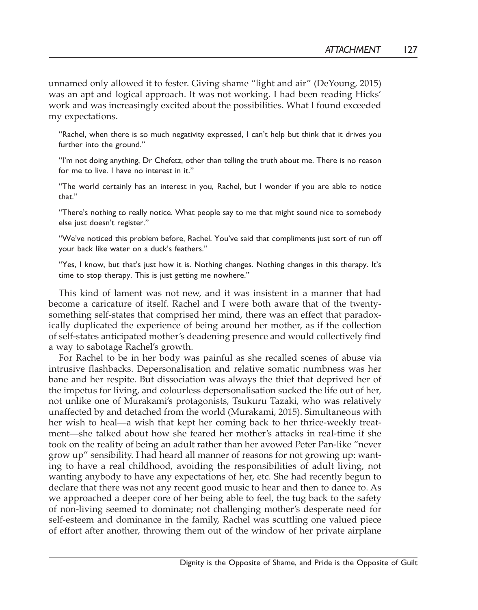unnamed only allowed it to fester. Giving shame "light and air" (DeYoung, 2015) was an apt and logical approach. It was not working. I had been reading Hicks' work and was increasingly excited about the possibilities. What I found exceeded my expectations.

"Rachel, when there is so much negativity expressed, I can't help but think that it drives you further into the ground."

"I'm not doing anything, Dr Chefetz, other than telling the truth about me. There is no reason for me to live. I have no interest in it."

"The world certainly has an interest in you, Rachel, but I wonder if you are able to notice that."

"There's nothing to really notice. What people say to me that might sound nice to somebody else just doesn't register."

"We've noticed this problem before, Rachel. You've said that compliments just sort of run off your back like water on a duck's feathers."

"Yes, I know, but that's just how it is. Nothing changes. Nothing changes in this therapy. It's time to stop therapy. This is just getting me nowhere."

This kind of lament was not new, and it was insistent in a manner that had become a caricature of itself. Rachel and I were both aware that of the twentysomething self-states that comprised her mind, there was an effect that paradoxically duplicated the experience of being around her mother, as if the collection of self-states anticipated mother's deadening presence and would collectively find a way to sabotage Rachel's growth.

For Rachel to be in her body was painful as she recalled scenes of abuse via intrusive flashbacks. Depersonalisation and relative somatic numbness was her bane and her respite. But dissociation was always the thief that deprived her of the impetus for living, and colourless depersonalisation sucked the life out of her, not unlike one of Murakami's protagonists, Tsukuru Tazaki, who was relatively unaffected by and detached from the world (Murakami, 2015). Simultaneous with her wish to heal—a wish that kept her coming back to her thrice-weekly treatment—she talked about how she feared her mother's attacks in real-time if she took on the reality of being an adult rather than her avowed Peter Pan-like "never grow up" sensibility. I had heard all manner of reasons for not growing up: wanting to have a real childhood, avoiding the responsibilities of adult living, not wanting anybody to have any expectations of her, etc. She had recently begun to declare that there was not any recent good music to hear and then to dance to. As we approached a deeper core of her being able to feel, the tug back to the safety of non-living seemed to dominate; not challenging mother's desperate need for self-esteem and dominance in the family, Rachel was scuttling one valued piece of effort after another, throwing them out of the window of her private airplane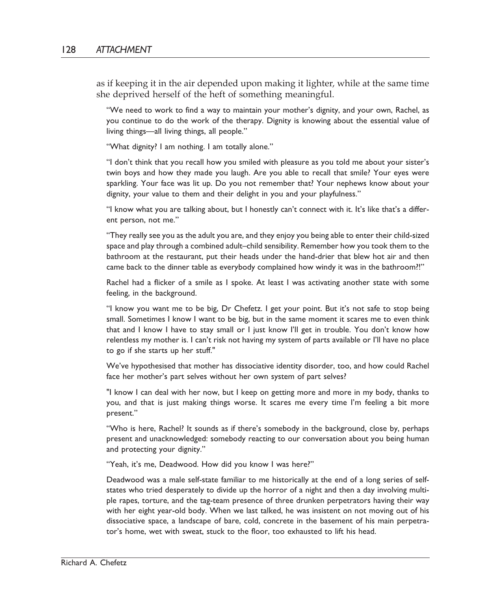as if keeping it in the air depended upon making it lighter, while at the same time she deprived herself of the heft of something meaningful.

"We need to work to find a way to maintain your mother's dignity, and your own, Rachel, as you continue to do the work of the therapy. Dignity is knowing about the essential value of living things—all living things, all people."

"What dignity? I am nothing. I am totally alone."

"I don't think that you recall how you smiled with pleasure as you told me about your sister's twin boys and how they made you laugh. Are you able to recall that smile? Your eyes were sparkling. Your face was lit up. Do you not remember that? Your nephews know about your dignity, your value to them and their delight in you and your playfulness."

"I know what you are talking about, but I honestly can't connect with it. It's like that's a different person, not me."

"They really see you as the adult you are, and they enjoy you being able to enter their child-sized space and play through a combined adult–child sensibility. Remember how you took them to the bathroom at the restaurant, put their heads under the hand-drier that blew hot air and then came back to the dinner table as everybody complained how windy it was in the bathroom?!"

Rachel had a flicker of a smile as I spoke. At least I was activating another state with some feeling, in the background.

"I know you want me to be big, Dr Chefetz. I get your point. But it's not safe to stop being small. Sometimes I know I want to be big, but in the same moment it scares me to even think that and I know I have to stay small or I just know I'll get in trouble. You don't know how relentless my mother is. I can't risk not having my system of parts available or I'll have no place to go if she starts up her stuff."

We've hypothesised that mother has dissociative identity disorder, too, and how could Rachel face her mother's part selves without her own system of part selves?

"I know I can deal with her now, but I keep on getting more and more in my body, thanks to you, and that is just making things worse. It scares me every time I'm feeling a bit more present."

"Who is here, Rachel? It sounds as if there's somebody in the background, close by, perhaps present and unacknowledged: somebody reacting to our conversation about you being human and protecting your dignity."

"Yeah, it's me, Deadwood. How did you know I was here?"

Deadwood was a male self-state familiar to me historically at the end of a long series of selfstates who tried desperately to divide up the horror of a night and then a day involving multiple rapes, torture, and the tag-team presence of three drunken perpetrators having their way with her eight year-old body. When we last talked, he was insistent on not moving out of his dissociative space, a landscape of bare, cold, concrete in the basement of his main perpetrator's home, wet with sweat, stuck to the floor, too exhausted to lift his head.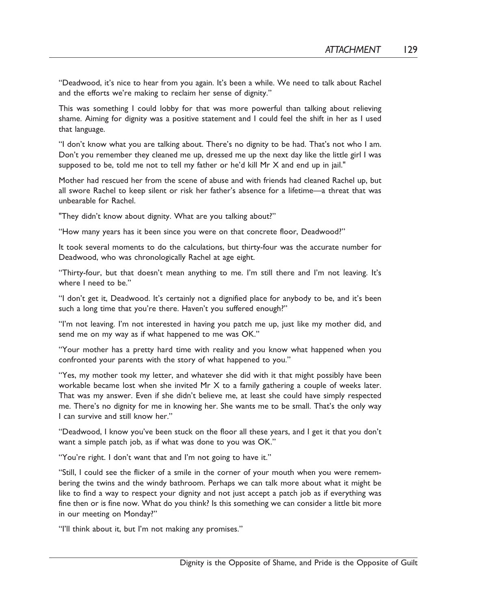"Deadwood, it's nice to hear from you again. It's been a while. We need to talk about Rachel and the efforts we're making to reclaim her sense of dignity."

This was something I could lobby for that was more powerful than talking about relieving shame. Aiming for dignity was a positive statement and I could feel the shift in her as I used that language.

"I don't know what you are talking about. There's no dignity to be had. That's not who I am. Don't you remember they cleaned me up, dressed me up the next day like the little girl I was supposed to be, told me not to tell my father or he'd kill Mr X and end up in jail."

Mother had rescued her from the scene of abuse and with friends had cleaned Rachel up, but all swore Rachel to keep silent or risk her father's absence for a lifetime—a threat that was unbearable for Rachel.

"They didn't know about dignity. What are you talking about?"

"How many years has it been since you were on that concrete floor, Deadwood?"

It took several moments to do the calculations, but thirty-four was the accurate number for Deadwood, who was chronologically Rachel at age eight.

"Thirty-four, but that doesn't mean anything to me. I'm still there and I'm not leaving. It's where I need to be."

"I don't get it, Deadwood. It's certainly not a dignified place for anybody to be, and it's been such a long time that you're there. Haven't you suffered enough?"

"I'm not leaving. I'm not interested in having you patch me up, just like my mother did, and send me on my way as if what happened to me was OK."

"Your mother has a pretty hard time with reality and you know what happened when you confronted your parents with the story of what happened to you."

"Yes, my mother took my letter, and whatever she did with it that might possibly have been workable became lost when she invited Mr X to a family gathering a couple of weeks later. That was my answer. Even if she didn't believe me, at least she could have simply respected me. There's no dignity for me in knowing her. She wants me to be small. That's the only way I can survive and still know her."

"Deadwood, I know you've been stuck on the floor all these years, and I get it that you don't want a simple patch job, as if what was done to you was OK."

"You're right. I don't want that and I'm not going to have it."

"Still, I could see the flicker of a smile in the corner of your mouth when you were remembering the twins and the windy bathroom. Perhaps we can talk more about what it might be like to find a way to respect your dignity and not just accept a patch job as if everything was fine then or is fine now. What do you think? Is this something we can consider a little bit more in our meeting on Monday?"

"I'll think about it, but I'm not making any promises."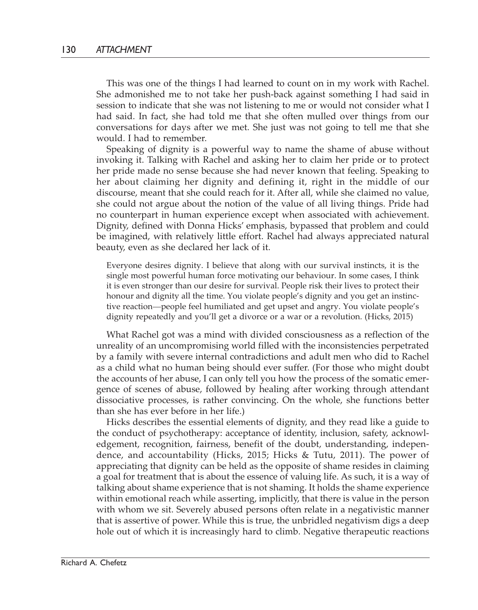This was one of the things I had learned to count on in my work with Rachel. She admonished me to not take her push-back against something I had said in session to indicate that she was not listening to me or would not consider what I had said. In fact, she had told me that she often mulled over things from our conversations for days after we met. She just was not going to tell me that she would. I had to remember.

Speaking of dignity is a powerful way to name the shame of abuse without invoking it. Talking with Rachel and asking her to claim her pride or to protect her pride made no sense because she had never known that feeling. Speaking to her about claiming her dignity and defining it, right in the middle of our discourse, meant that she could reach for it. After all, while she claimed no value, she could not argue about the notion of the value of all living things. Pride had no counterpart in human experience except when associated with achievement. Dignity, defined with Donna Hicks' emphasis, bypassed that problem and could be imagined, with relatively little effort. Rachel had always appreciated natural beauty, even as she declared her lack of it.

Everyone desires dignity. I believe that along with our survival instincts, it is the single most powerful human force motivating our behaviour. In some cases, I think it is even stronger than our desire for survival. People risk their lives to protect their honour and dignity all the time. You violate people's dignity and you get an instinctive reaction—people feel humiliated and get upset and angry. You violate people's dignity repeatedly and you'll get a divorce or a war or a revolution. (Hicks, 2015)

What Rachel got was a mind with divided consciousness as a reflection of the unreality of an uncompromising world filled with the inconsistencies perpetrated by a family with severe internal contradictions and adult men who did to Rachel as a child what no human being should ever suffer. (For those who might doubt the accounts of her abuse, I can only tell you how the process of the somatic emergence of scenes of abuse, followed by healing after working through attendant dissociative processes, is rather convincing. On the whole, she functions better than she has ever before in her life.)

Hicks describes the essential elements of dignity, and they read like a guide to the conduct of psychotherapy: acceptance of identity, inclusion, safety, acknowledgement, recognition, fairness, benefit of the doubt, understanding, independence, and accountability (Hicks, 2015; Hicks & Tutu, 2011). The power of appreciating that dignity can be held as the opposite of shame resides in claiming a goal for treatment that is about the essence of valuing life. As such, it is a way of talking about shame experience that is not shaming. It holds the shame experience within emotional reach while asserting, implicitly, that there is value in the person with whom we sit. Severely abused persons often relate in a negativistic manner that is assertive of power. While this is true, the unbridled negativism digs a deep hole out of which it is increasingly hard to climb. Negative therapeutic reactions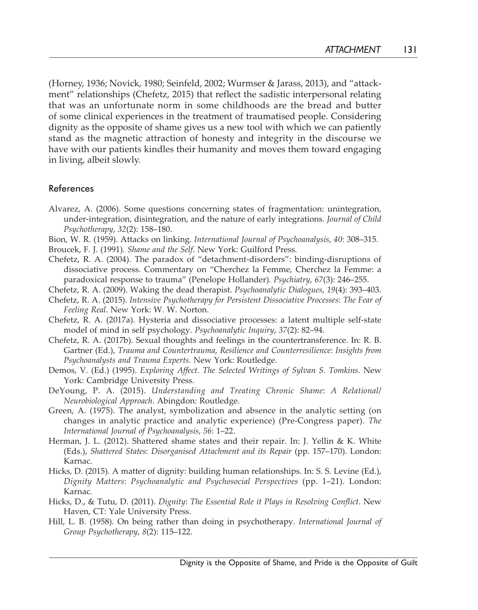(Horney, 1936; Novick, 1980; Seinfeld, 2002; Wurmser & Jarass, 2013), and "attackment" relationships (Chefetz, 2015) that reflect the sadistic interpersonal relating that was an unfortunate norm in some childhoods are the bread and butter of some clinical experiences in the treatment of traumatised people. Considering dignity as the opposite of shame gives us a new tool with which we can patiently stand as the magnetic attraction of honesty and integrity in the discourse we have with our patients kindles their humanity and moves them toward engaging in living, albeit slowly.

## References

- Alvarez, A. (2006). Some questions concerning states of fragmentation: unintegration, under-integration, disintegration, and the nature of early integrations. *Journal of Child Psychotherapy*, *32*(2): 158–180.
- Bion, W. R. (1959). Attacks on linking. *International Journal of Psychoanalysis*, *40*: 308–315.
- Broucek, F. J. (1991). *Shame and the Self*. New York: Guilford Press.
- Chefetz, R. A. (2004). The paradox of "detachment-disorders": binding-disruptions of dissociative process. Commentary on "Cherchez la Femme, Cherchez la Femme: a paradoxical response to trauma" (Penelope Hollander). *Psychiatry*, *67*(3): 246–255.
- Chefetz, R. A. (2009). Waking the dead therapist. *Psychoanalytic Dialogues*, *19*(4): 393–403.
- Chefetz, R. A. (2015). *Intensive Psychotherapy for Persistent Dissociative Processes*: *The Fear of Feeling Real*. New York: W. W. Norton.
- Chefetz, R. A. (2017a). Hysteria and dissociative processes: a latent multiple self-state model of mind in self psychology. *Psychoanalytic Inquiry*, *37*(2): 82–94.
- Chefetz, R. A. (2017b). Sexual thoughts and feelings in the countertransference. In: R. B. Gartner (Ed.), *Trauma and Countertrauma*, *Resilience and Counterresilience*: *Insights from Psychoanalysts and Trauma Experts*. New York: Routledge.
- Demos, V. (Ed.) (1995). *Exploring Affect*. *The Selected Writings of Sylvan S. Tomkins*. New York: Cambridge University Press.
- DeYoung, P. A. (2015). *Understanding and Treating Chronic Shame*: *A Relational*/ *Neurobiological Approach*. Abingdon: Routledge.
- Green, A. (1975). The analyst, symbolization and absence in the analytic setting (on changes in analytic practice and analytic experience) (Pre-Congress paper). *The International Journal of Psychoanalysis*, *56*: 1–22.
- Herman, J. L. (2012). Shattered shame states and their repair. In: J. Yellin & K. White (Eds.), *Shattered States*: *Disorganised Attachment and its Repair* (pp. 157–170). London: Karnac.
- Hicks, D. (2015). A matter of dignity: building human relationships. In: S. S. Levine (Ed.), *Dignity Matters*: *Psychoanalytic and Psychosocial Perspectives* (pp. 1–21). London: Karnac.
- Hicks, D., & Tutu, D. (2011). *Dignity*: *The Essential Role it Plays in Resolving Conflict*. New Haven, CT: Yale University Press.
- Hill, L. B. (1958). On being rather than doing in psychotherapy. *International Journal of Group Psychotherapy*, *8*(2): 115–122.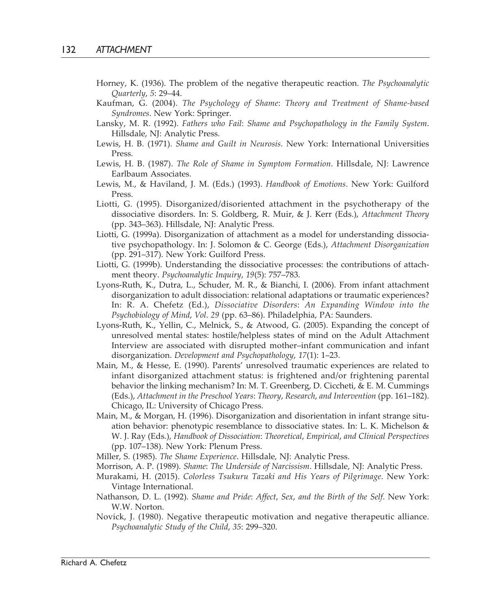- Horney, K. (1936). The problem of the negative therapeutic reaction. *The Psychoanalytic Quarterly*, *5*: 29–44.
- Kaufman, G. (2004). *The Psychology of Shame*: *Theory and Treatment of Shame-based Syndromes*. New York: Springer.
- Lansky, M. R. (1992). *Fathers who Fail*: *Shame and Psychopathology in the Family System*. Hillsdale, NJ: Analytic Press.
- Lewis, H. B. (1971). *Shame and Guilt in Neurosis*. New York: International Universities Press.
- Lewis, H. B. (1987). *The Role of Shame in Symptom Formation*. Hillsdale, NJ: Lawrence Earlbaum Associates.
- Lewis, M., & Haviland, J. M. (Eds.) (1993). *Handbook of Emotions*. New York: Guilford Press.
- Liotti, G. (1995). Disorganized/disoriented attachment in the psychotherapy of the dissociative disorders. In: S. Goldberg, R. Muir, & J. Kerr (Eds.), *Attachment Theory* (pp. 343–363). Hillsdale, NJ: Analytic Press.
- Liotti, G. (1999a). Disorganization of attachment as a model for understanding dissociative psychopathology. In: J. Solomon & C. George (Eds.), *Attachment Disorganization* (pp. 291–317). New York: Guilford Press.
- Liotti, G. (1999b). Understanding the dissociative processes: the contributions of attachment theory. *Psychoanalytic Inquiry*, *19*(5): 757–783.
- Lyons-Ruth, K., Dutra, L., Schuder, M. R., & Bianchi, I. (2006). From infant attachment disorganization to adult dissociation: relational adaptations or traumatic experiences? In: R. A. Chefetz (Ed.), *Dissociative Disorders*: *An Expanding Window into the Psychobiology of Mind*, *Vol*. *29* (pp. 63–86). Philadelphia, PA: Saunders.
- Lyons-Ruth, K., Yellin, C., Melnick, S., & Atwood, G. (2005). Expanding the concept of unresolved mental states: hostile/helpless states of mind on the Adult Attachment Interview are associated with disrupted mother–infant communication and infant disorganization. *Development and Psychopathology*, *17*(1): 1–23.
- Main, M., & Hesse, E. (1990). Parents' unresolved traumatic experiences are related to infant disorganized attachment status: is frightened and/or frightening parental behavior the linking mechanism? In: M. T. Greenberg, D. Ciccheti, & E. M. Cummings (Eds.), *Attachment in the Preschool Years*: *Theory*, *Research*, *and Intervention* (pp. 161–182). Chicago, IL: University of Chicago Press.
- Main, M., & Morgan, H. (1996). Disorganization and disorientation in infant strange situation behavior: phenotypic resemblance to dissociative states. In: L. K. Michelson & W. J. Ray (Eds.), *Handbook of Dissociation*: *Theoretical*, *Empirical*, *and Clinical Perspectives* (pp. 107–138). New York: Plenum Press.
- Miller, S. (1985). *The Shame Experience*. Hillsdale, NJ: Analytic Press.
- Morrison, A. P. (1989). *Shame*: *The Underside of Narcissism*. Hillsdale, NJ: Analytic Press.
- Murakami, H. (2015). *Colorless Tsukuru Tazaki and His Years of Pilgrimage*. New York: Vintage International.
- Nathanson, D. L. (1992). *Shame and Pride*: *Affect*, *Sex*, *and the Birth of the Self*. New York: W.W. Norton.
- Novick, J. (1980). Negative therapeutic motivation and negative therapeutic alliance. *Psychoanalytic Study of the Child*, *35*: 299–320.